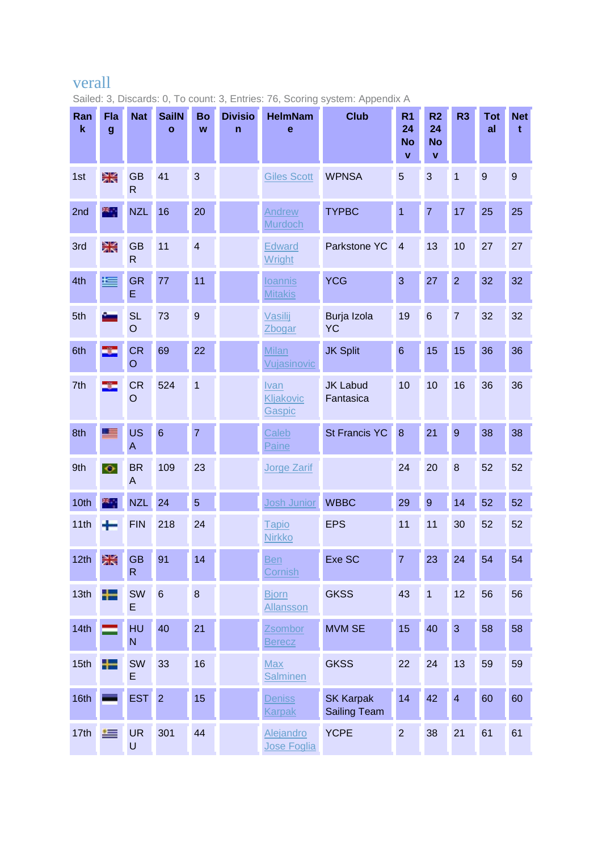## verall

Sailed: 3, Discards: 0, To count: 3, Entries: 76, Scoring system: Appendix A

| Ran<br>$\mathbf k$ | Fla<br>$\boldsymbol{g}$ | <b>Nat</b>                | <b>SailN</b><br>$\mathbf{o}$ | <b>Bo</b><br>W  | <b>Divisio</b><br>n | <b>HelmNam</b><br>$\mathbf e$    | <b>Club</b>                             | R <sub>1</sub><br>24<br><b>No</b><br>$\mathbf{v}$ | R <sub>2</sub><br>24<br><b>No</b><br>$\mathbf{v}$ | R <sub>3</sub>          | <b>Tot</b><br>al | <b>Net</b><br>t |
|--------------------|-------------------------|---------------------------|------------------------------|-----------------|---------------------|----------------------------------|-----------------------------------------|---------------------------------------------------|---------------------------------------------------|-------------------------|------------------|-----------------|
| 1st                | Ж                       | <b>GB</b><br>$\mathsf{R}$ | 41                           | 3               |                     | <b>Giles Scott</b>               | <b>WPNSA</b>                            | 5                                                 | 3                                                 | $\overline{\mathbf{1}}$ | $\overline{9}$   | $9\,$           |
| 2nd                | ×.                      | <b>NZL</b>                | 16                           | 20              |                     | Andrew<br><b>Murdoch</b>         | <b>TYPBC</b>                            | $\overline{1}$                                    | $\overline{7}$                                    | 17                      | 25               | 25              |
| 3rd                | Ж                       | <b>GB</b><br>$\mathsf{R}$ | 11                           | $\overline{4}$  |                     | Edward<br><b>Wright</b>          | Parkstone YC                            | $\overline{4}$                                    | 13                                                | 10                      | 27               | 27              |
| 4th                | 写                       | <b>GR</b><br>E            | 77                           | 11              |                     | <b>loannis</b><br><b>Mitakis</b> | <b>YCG</b>                              | 3                                                 | 27                                                | $\overline{2}$          | 32               | 32              |
| 5th                |                         | <b>SL</b><br>$\circ$      | 73                           | $\overline{9}$  |                     | Vasilij<br><b>Zbogar</b>         | Burja Izola<br><b>YC</b>                | 19                                                | $6\phantom{a}$                                    | $\overline{7}$          | 32               | 32              |
| 6th                | ÷                       | <b>CR</b><br>$\circ$      | 69                           | 22              |                     | <b>Milan</b><br>Vujasinovic      | <b>JK Split</b>                         | $6\phantom{1}$                                    | 15                                                | 15                      | 36               | 36              |
| 7th                | ÷                       | <b>CR</b><br>$\circ$      | 524                          | $\mathbf{1}$    |                     | Ivan<br>Kljakovic<br>Gaspic      | <b>JK Labud</b><br>Fantasica            | 10                                                | 10                                                | 16                      | 36               | 36              |
| 8th                | Œ                       | <b>US</b><br>A            | $6\phantom{1}6$              | $\overline{7}$  |                     | Caleb<br>Paine                   | <b>St Francis YC</b>                    | 8                                                 | 21                                                | $\overline{9}$          | 38               | 38              |
| 9th                | $\bullet$               | <b>BR</b><br>A            | 109                          | 23              |                     | <b>Jorge Zarif</b>               |                                         | 24                                                | 20                                                | 8                       | 52               | 52              |
| 10th               | ×.                      | <b>NZL</b>                | 24                           | $\overline{5}$  |                     | Josh Junior                      | <b>WBBC</b>                             | 29                                                | 9                                                 | 14                      | 52               | 52              |
| 11th               | ٠                       | <b>FIN</b>                | 218                          | 24              |                     | Tapio<br><b>Nirkko</b>           | <b>EPS</b>                              | 11                                                | 11                                                | 30                      | 52               | 52              |
| 12th               | 米                       | GB<br>$\mathsf{R}$        | 91                           | 14 <sup>°</sup> |                     | Ben<br>Cornish                   | Exe SC                                  | $\overline{7}$                                    | 23                                                | 24                      | 54               | 54              |
| 13th               | ╇                       | <b>SW</b><br>E            | $6\phantom{1}6$              | $\bf 8$         |                     | <b>Bjorn</b><br>Allansson        | <b>GKSS</b>                             | 43                                                | $\overline{1}$                                    | 12                      | 56               | 56              |
| 14th               |                         | <b>HU</b><br>N            | 40                           | 21              |                     | Zsombor<br><b>Berecz</b>         | <b>MVM SE</b>                           | 15                                                | 40                                                | 3                       | 58               | 58              |
| 15th               | ┿═                      | SW<br>E                   | 33                           | 16              |                     | <b>Max</b><br><b>Salminen</b>    | <b>GKSS</b>                             | 22                                                | 24                                                | 13                      | 59               | 59              |
| 16th               |                         | <b>EST</b>                | $\overline{2}$               | 15              |                     | Deniss<br><b>Karpak</b>          | <b>SK Karpak</b><br><b>Sailing Team</b> | 14                                                | 42                                                | $\overline{\mathbf{4}}$ | 60               | 60              |
| 17th               | 缰                       | <b>UR</b><br>U            | 301                          | 44              |                     | Alejandro<br>Jose Foglia         | <b>YCPE</b>                             | $\overline{c}$                                    | 38                                                | 21                      | 61               | 61              |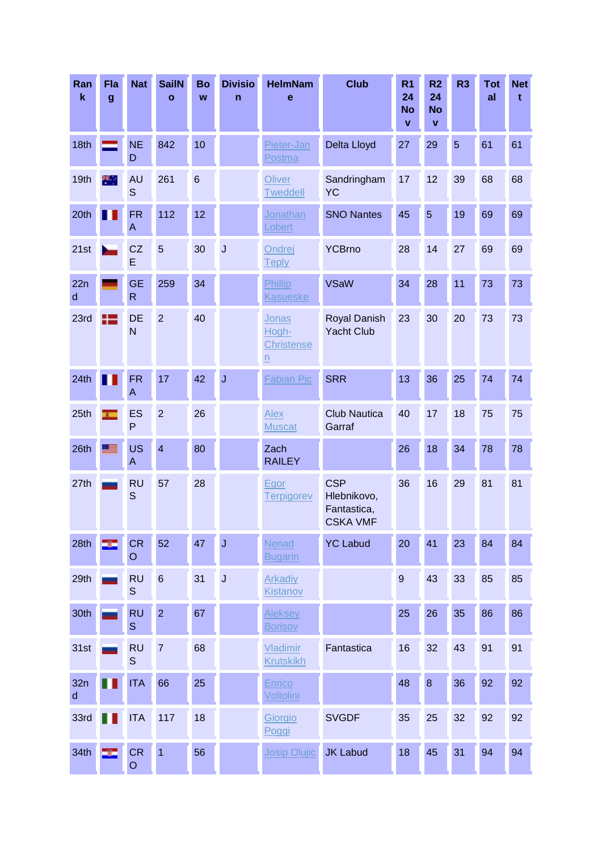| Ran<br>$\mathbf k$ | Fla<br>$\boldsymbol{g}$ | <b>Nat</b>                           | <b>SailN</b><br>$\mathbf{o}$ | <b>Bo</b><br>W | <b>Divisio</b><br>$\mathsf{n}$ | <b>HelmNam</b><br>$\mathbf e$     | <b>Club</b>                                                 | R <sub>1</sub><br>24<br><b>No</b><br>$\mathbf{V}$ | R <sub>2</sub><br>24<br><b>No</b><br>$\mathbf v$ | R <sub>3</sub> | <b>Tot</b><br>al | <b>Net</b><br>t |
|--------------------|-------------------------|--------------------------------------|------------------------------|----------------|--------------------------------|-----------------------------------|-------------------------------------------------------------|---------------------------------------------------|--------------------------------------------------|----------------|------------------|-----------------|
| 18th               |                         | <b>NE</b><br>D                       | 842                          | 10             |                                | Pieter-Jan<br>Postma              | Delta Lloyd                                                 | 27                                                | 29                                               | 5              | 61               | 61              |
| 19th               | ×.                      | <b>AU</b><br>S                       | 261                          | $6\phantom{1}$ |                                | Oliver<br><b>Tweddell</b>         | Sandringham<br><b>YC</b>                                    | 17                                                | 12                                               | 39             | 68               | 68              |
| 20th               |                         | <b>FR</b><br>A                       | 112                          | 12             |                                | Jonathan<br>Lobert                | <b>SNO Nantes</b>                                           | 45                                                | $\overline{5}$                                   | 19             | 69               | 69              |
| 21st               |                         | CZ<br>E                              | 5                            | 30             | J                              | Ondrej<br><b>Teply</b>            | <b>YCBrno</b>                                               | 28                                                | 14                                               | 27             | 69               | 69              |
| 22n<br>d           |                         | <b>GE</b><br>$\overline{\mathsf{R}}$ | 259                          | 34             |                                | Phillip<br><b>Kasueske</b>        | <b>VSaW</b>                                                 | 34                                                | 28                                               | 11             | 73               | 73              |
| 23rd               | $\pm$                   | DE<br>N                              | $\overline{2}$               | 40             |                                | Jonas<br>Hogh-<br>Christense<br>n | <b>Royal Danish</b><br><b>Yacht Club</b>                    | 23                                                | 30                                               | 20             | 73               | 73              |
| 24th               |                         | <b>FR</b><br>A                       | 17                           | 42             | $\mathsf J$                    | Fabian Pic                        | <b>SRR</b>                                                  | 13                                                | 36                                               | 25             | 74               | 74              |
| 25th               | x.                      | <b>ES</b><br>P                       | $\overline{2}$               | 26             |                                | Alex<br><b>Muscat</b>             | <b>Club Nautica</b><br>Garraf                               | 40                                                | 17                                               | 18             | 75               | 75              |
| 26th               | <b>FEB</b>              | <b>US</b><br>A                       | $\overline{\mathbf{4}}$      | 80             |                                | Zach<br><b>RAILEY</b>             |                                                             | 26                                                | 18                                               | 34             | 78               | 78              |
| 27th               |                         | <b>RU</b><br>$\mathsf{S}$            | 57                           | 28             |                                | Egor<br><b>Terpigorev</b>         | <b>CSP</b><br>Hlebnikovo,<br>Fantastica,<br><b>CSKA VMF</b> | 36                                                | 16                                               | 29             | 81               | 81              |
| 28th               |                         | <b>CR</b><br>$\circ$                 | 52                           | 47             | $\mathsf J$                    | Nenad<br><b>Bugarin</b>           | <b>YC Labud</b>                                             | 20                                                | 41                                               | 23             | 84               | 84              |
| 29th               |                         | <b>RU</b><br>S                       | $6\phantom{a}$               | 31             | $\mathsf J$                    | <b>Arkadiy</b><br>Kistanov        |                                                             | $\overline{9}$                                    | 43                                               | 33             | 85               | 85              |
| 30th               |                         | <b>RU</b><br>$\mathbb S$             | $\overline{2}$               | 67             |                                | <b>Aleksey</b><br><b>Borisov</b>  |                                                             | 25                                                | 26                                               | 35             | 86               | 86              |
| 31st               |                         | <b>RU</b><br>$\mathbb S$             | $\overline{7}$               | 68             |                                | Vladimir<br><b>Krutskikh</b>      | Fantastica                                                  | 16                                                | 32                                               | 43             | 91               | 91              |
| 32n<br>$\sf d$     |                         | <b>ITA</b>                           | 66                           | 25             |                                | <b>Enrico</b><br>Voltolini        |                                                             | 48                                                | $\bf 8$                                          | 36             | 92               | 92              |
| 33rd               | ш                       | <b>ITA</b>                           | 117                          | 18             |                                | Giorgio<br>Poggi                  | <b>SVGDF</b>                                                | 35                                                | 25                                               | 32             | 92               | 92              |
| 34th               | ÷                       | ${\sf CR}$<br>$\mathsf O$            | $\overline{1}$               | 56             |                                | <b>Josip Olujic</b>               | <b>JK Labud</b>                                             | 18                                                | 45                                               | 31             | 94               | 94              |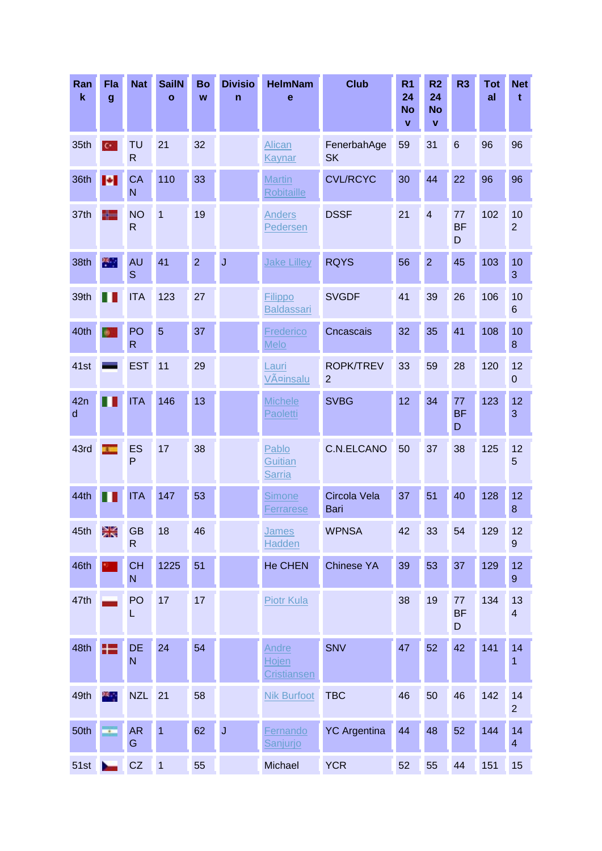| Ran<br>$\mathbf k$  | Fla<br>$\boldsymbol{g}$     | <b>Nat</b>                           | <b>SailN</b><br>$\mathbf{o}$ | <b>Bo</b><br>W | <b>Divisio</b><br>$\mathsf{n}$ | <b>HelmNam</b><br>e                  | <b>Club</b>                        | R <sub>1</sub><br>24<br><b>No</b><br>$\mathbf{v}$ | R <sub>2</sub><br>24<br><b>No</b><br>V | R <sub>3</sub>       | <b>Tot</b><br>al | <b>Net</b><br>t        |
|---------------------|-----------------------------|--------------------------------------|------------------------------|----------------|--------------------------------|--------------------------------------|------------------------------------|---------------------------------------------------|----------------------------------------|----------------------|------------------|------------------------|
| 35th                | $\mathbf{C}^{\star}$        | <b>TU</b><br>$\mathsf{R}$            | 21                           | 32             |                                | <b>Alican</b><br>Kaynar              | FenerbahAge<br><b>SK</b>           | 59                                                | 31                                     | $6\phantom{1}6$      | 96               | 96                     |
| 36th                | H.                          | <b>CA</b><br>$\mathsf{N}$            | 110                          | 33             |                                | <b>Martin</b><br><b>Robitaille</b>   | <b>CVL/RCYC</b>                    | 30                                                | 44                                     | 22                   | 96               | 96                     |
| 37th                | ╬═                          | <b>NO</b><br>$\mathsf{R}$            | $\mathbf{1}$                 | 19             |                                | <b>Anders</b><br>Pedersen            | <b>DSSF</b>                        | 21                                                | $\overline{4}$                         | 77<br><b>BF</b><br>D | 102              | 10<br>$\overline{2}$   |
| 38th                | X.                          | <b>AU</b><br>S                       | 41                           | $\overline{2}$ | $\overline{\mathsf{J}}$        | <b>Jake Lilley</b>                   | <b>RQYS</b>                        | 56                                                | $\overline{2}$                         | 45                   | 103              | 10<br>3                |
| 39th                |                             | <b>ITA</b>                           | 123                          | 27             |                                | Filippo<br><b>Baldassari</b>         | <b>SVGDF</b>                       | 41                                                | 39                                     | 26                   | 106              | 10<br>6                |
| 40th                |                             | PO<br>$\mathsf{R}$                   | 5                            | 37             |                                | Frederico<br>Melo                    | Cncascais                          | 32                                                | 35                                     | 41                   | 108              | 10<br>8                |
| 41st                |                             | <b>EST</b>                           | 11                           | 29             |                                | Lauri<br>Väinsalu                    | <b>ROPK/TREV</b><br>$\overline{2}$ | 33                                                | 59                                     | 28                   | 120              | 12<br>$\boldsymbol{0}$ |
| 42n<br>$\mathsf{d}$ |                             | <b>ITA</b>                           | 146                          | 13             |                                | <b>Michele</b><br>Paoletti           | <b>SVBG</b>                        | 12                                                | 34                                     | 77<br><b>BF</b><br>D | 123              | 12<br>3                |
| 43rd                | $\overline{\phantom{a}}$    | <b>ES</b><br>P                       | 17                           | 38             |                                | Pablo<br>Guitian<br><b>Sarria</b>    | C.N.ELCANO                         | 50                                                | 37                                     | 38                   | 125              | 12<br>5                |
| 44th                |                             | <b>ITA</b>                           | 147                          | 53             |                                | <b>Simone</b><br>Ferrarese           | Circola Vela<br>Bari               | 37                                                | 51                                     | 40                   | 128              | 12<br>8                |
| 45th                | Ж                           | <b>GB</b><br>R                       | 18                           | 46             |                                | <b>James</b><br>Hadden               | <b>WPNSA</b>                       | 42                                                | 33                                     | 54                   | 129              | 12<br>9                |
| 46th                |                             | <b>CH</b><br>$\mathsf{N}$            | 1225                         | 51             |                                | <b>He CHEN</b>                       | <b>Chinese YA</b>                  | 39                                                | 53                                     | 37                   | 129              | 12<br>9                |
| 47th                |                             | PO<br>L                              | 17                           | 17             |                                | <b>Piotr Kula</b>                    |                                    | 38                                                | 19                                     | 77<br><b>BF</b><br>D | 134              | 13<br>4                |
| 48th                | H                           | <b>DE</b><br>$\overline{\mathsf{N}}$ | 24                           | 54             |                                | Andre<br>Hojen<br><b>Cristiansen</b> | <b>SNV</b>                         | 47                                                | 52                                     | 42                   | 141              | 14<br>1                |
| 49th                | ж.,                         | <b>NZL</b>                           | 21                           | 58             |                                | <b>Nik Burfoot</b>                   | <b>TBC</b>                         | 46                                                | 50                                     | 46                   | 142              | 14<br>$\overline{2}$   |
| 50th                | $\mathcal{L}_{\mathcal{A}}$ | <b>AR</b><br>G                       | $\overline{1}$               | 62             | $\mathsf J$                    | <b>Fernando</b><br>Sanjurjo          | <b>YC Argentina</b>                | 44                                                | 48                                     | 52                   | 144              | 14<br>$\overline{4}$   |
| 51st                | ►                           | CZ                                   | $\overline{1}$               | 55             |                                | Michael                              | <b>YCR</b>                         | 52                                                | 55                                     | 44                   | 151              | 15                     |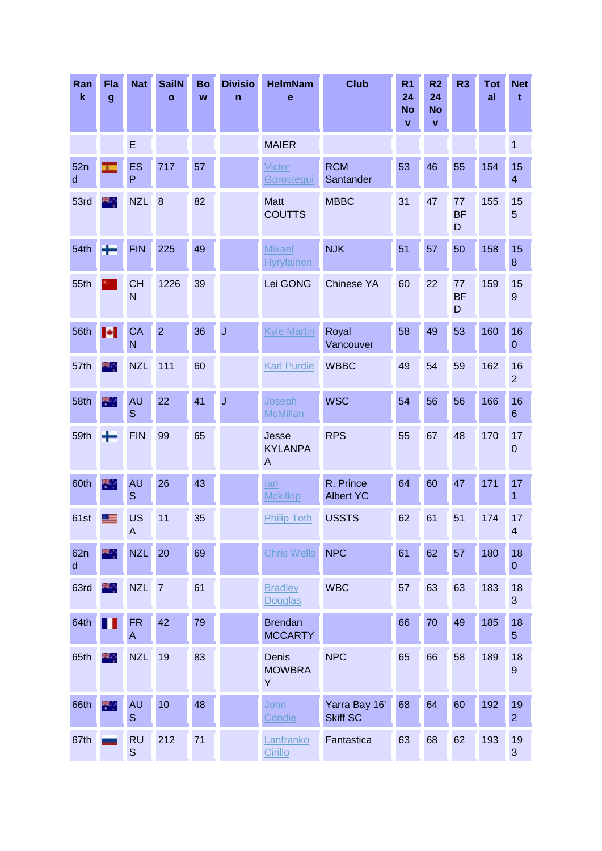| Ran<br>$\mathbf k$  | Fla<br>$\boldsymbol{g}$ | <b>Nat</b>               | <b>SailN</b><br>$\mathbf{o}$ | Bo<br>W | <b>Divisio</b><br>$\mathsf{n}$ | <b>HelmNam</b><br>$\mathbf e$      | <b>Club</b>                      | R <sub>1</sub><br>24<br><b>No</b><br>$\mathbf{V}$ | R <sub>2</sub><br>24<br><b>No</b><br>$\pmb{\mathsf{v}}$ | R <sub>3</sub>       | <b>Tot</b><br>al | <b>Net</b><br>t        |
|---------------------|-------------------------|--------------------------|------------------------------|---------|--------------------------------|------------------------------------|----------------------------------|---------------------------------------------------|---------------------------------------------------------|----------------------|------------------|------------------------|
|                     |                         | E                        |                              |         |                                | <b>MAIER</b>                       |                                  |                                                   |                                                         |                      |                  | 1                      |
| 52n<br>$\mathsf{d}$ | x.                      | ES<br>P                  | 717                          | 57      |                                | Victor<br>Gorostegui               | <b>RCM</b><br>Santander          | 53                                                | 46                                                      | 55                   | 154              | 15<br>4                |
| 53rd                | ж.,                     | <b>NZL</b>               | 8                            | 82      |                                | <b>Matt</b><br><b>COUTTS</b>       | <b>MBBC</b>                      | 31                                                | 47                                                      | 77<br><b>BF</b><br>D | 155              | 15<br>5                |
| 54th                | ٠                       | <b>FIN</b>               | 225                          | 49      |                                | <b>Mikael</b><br><b>Hyrylainen</b> | <b>NJK</b>                       | 51                                                | 57                                                      | 50                   | 158              | 15<br>8                |
| 55th                |                         | <b>CH</b><br>N           | 1226                         | 39      |                                | Lei GONG                           | <b>Chinese YA</b>                | 60                                                | 22                                                      | 77<br><b>BF</b><br>D | 159              | 15<br>$\boldsymbol{9}$ |
| 56th                | н                       | CA<br>N                  | $\overline{2}$               | 36      | $\mathsf J$                    | <b>Kyle Martin</b>                 | Royal<br>Vancouver               | 58                                                | 49                                                      | 53                   | 160              | 16<br>$\mathbf 0$      |
| 57th                | ×.,                     | <b>NZL</b>               | $111$                        | 60      |                                | <b>Karl Purdie</b>                 | <b>WBBC</b>                      | 49                                                | 54                                                      | 59                   | 162              | 16<br>$\overline{c}$   |
| 58th                | 裔                       | <b>AU</b><br>S           | 22                           | 41      | J                              | Joseph<br><b>McMillan</b>          | <b>WSC</b>                       | 54                                                | 56                                                      | 56                   | 166              | 16<br>6                |
| 59th                | ÷                       | <b>FIN</b>               | 99                           | 65      |                                | Jesse<br><b>KYLANPA</b><br>A       | <b>RPS</b>                       | 55                                                | 67                                                      | 48                   | 170              | 17<br>$\pmb{0}$        |
| 60th                | 米                       | <b>AU</b><br>S           | 26                           | 43      |                                | lan<br><b>Mckillop</b>             | R. Prince<br><b>Albert YC</b>    | 64                                                | 60                                                      | 47                   | 171              | 17<br>1                |
| 61st                | <u>e s</u>              | <b>US</b><br>A           | 11                           | 35      |                                | <b>Philip Toth</b>                 | <b>USSTS</b>                     | 62                                                | 61                                                      | 51                   | 174              | 17<br>4                |
| 62n<br>$\sf d$      | ж,                      | <b>NZL</b>               | 20                           | 69      |                                | <b>Chris Wells</b>                 | <b>NPC</b>                       | 61                                                | 62                                                      | 57                   | 180              | 18<br>0                |
| 63rd                | æ,                      | <b>NZL</b>               | $\overline{7}$               | 61      |                                | <b>Bradley</b><br><b>Douglas</b>   | <b>WBC</b>                       | 57                                                | 63                                                      | 63                   | 183              | 18<br>3                |
| 64th                | ш                       | <b>FR</b><br>A           | 42                           | 79      |                                | <b>Brendan</b><br><b>MCCARTY</b>   |                                  | 66                                                | 70                                                      | 49                   | 185              | 18<br>$\overline{5}$   |
| 65th                | ×.                      | <b>NZL</b>               | 19                           | 83      |                                | Denis<br><b>MOWBRA</b><br>Υ        | <b>NPC</b>                       | 65                                                | 66                                                      | 58                   | 189              | 18<br>$\boldsymbol{9}$ |
| 66th                | 濁                       | <b>AU</b><br>$\mathbf S$ | 10                           | 48      |                                | John<br>Condie                     | Yarra Bay 16'<br><b>Skiff SC</b> | 68                                                | 64                                                      | 60                   | 192              | 19<br>$\overline{c}$   |
| 67th                |                         | <b>RU</b><br>$\mathbb S$ | 212                          | 71      |                                | Lanfranko<br>Cirillo               | Fantastica                       | 63                                                | 68                                                      | 62                   | 193              | 19<br>3                |